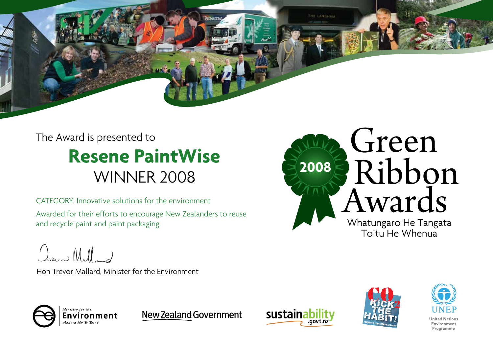The Award is presented to WINNER 2008 **Resene PaintWise**

Awarded for their efforts to encourage New Zealanders to reuse and recycle paint and paint packaging. CATEGORY: Innovative solutions for the environment

Dreve Milland

Hon Trevor Mallard, Minister for the Environment



THE LANGHAM



New Zealand Government







**United Nations** Environment Programme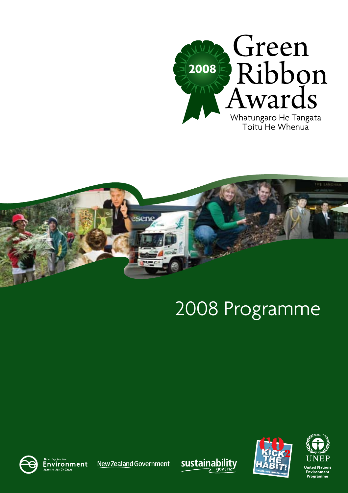



# 2008 Programme



New Zealand Government





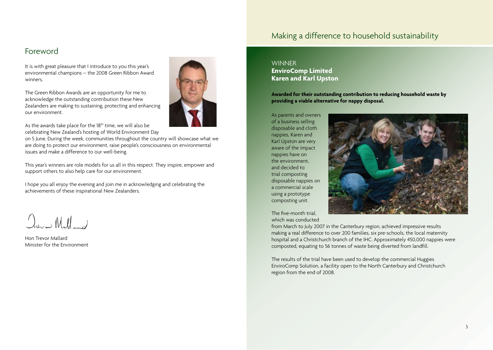## Making a difference to household sustainability

## Foreword

It is with great pleasure that I introduce to you this year's environmental champions – the 2008 Green Ribbon Award winners.

The Green Ribbon Awards are an opportunity for me to acknowledge the outstanding contribution these New Zealanders are making to sustaining, protecting and enhancing our environment.

As the awards take place for the 18<sup>th</sup> time, we will also be celebrating New Zealand's hosting of World Environment Day

on 5 June. During the week, communities throughout the country will showcase what we are doing to protect our environment, raise people's consciousness on environmental issues and make a difference to our well-being.

This year's winners are role models for us all in this respect. They inspire, empower and support others to also help care for our environment.

I hope you all enjoy the evening and join me in acknowledging and celebrating the achievements of these inspirational New Zealanders.

 $Q_{\text{res}}$  Mill 2

Hon Trevor Mallard Minister for the Environment



### **WINNER EnviroComp Limited Karen and Karl Upston**

**Awarded for their outstanding contribution to reducing household waste by providing a viable alternative for nappy disposal.**

As parents and owners of a business selling disposable and cloth nappies, Karen and Karl Upston are very aware of the impact nappies have on the environment, and decided to trial composting disposable nappies on a commercial scale using a prototype composting unit.



The five-month trial, which was conducted

from March to July 2007 in the Canterbury region, achieved impressive results making a real difference to over 200 families, six pre-schools, the local maternity hospital and a Christchurch branch of the IHC. Approximately 450,000 nappies were composted, equating to 56 tonnes of waste being diverted from landfill.

The results of the trial have been used to develop the commercial Huggies EnviroComp Solution, a facility open to the North Canterbury and Christchurch region from the end of 2008.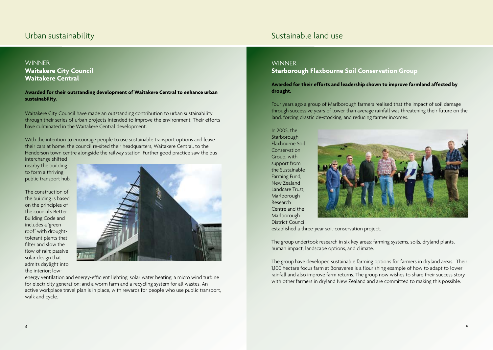## **WINNER Waitakere City Council Waitakere Central**

#### **Awarded for their outstanding development of Waitakere Central to enhance urban sustainability.**

Waitakere City Council have made an outstanding contribution to urban sustainability through their series of urban projects intended to improve the environment. Their efforts have culminated in the Waitakere Central development.

With the intention to encourage people to use sustainable transport options and leave their cars at home, the council re-sited their headquarters, Waitakere Central, to the Henderson town centre alongside the railway station. Further good practice saw the bus

interchange shifted nearby the building to form a thriving public transport hub.

The construction of the building is based on the principles of the council's Better Building Code and includes a 'green roof' with droughttolerant plants that filter and slow the flow of rain; passive solar design that admits daylight into the interior; low-



energy ventilation and energy-efficient lighting; solar water heating; a micro wind turbine for electricity generation; and a worm farm and a recycling system for all wastes. An active workplace travel plan is in place, with rewards for people who use public transport, walk and cycle.

## Urban sustainability Sustainability Sustainable land use

### **WINNER**

## **Starborough Flaxbourne Soil Conservation Group**

**Awarded for their efforts and leadership shown to improve farmland affected by drought.**

Four years ago a group of Marlborough farmers realised that the impact of soil damage through successive years of lower than average rainfall was threatening their future on the land, forcing drastic de-stocking, and reducing farmer incomes.

In 2005, the **Starborough** Flaxbourne Soil Conservation Group, with support from the Sustainable Farming Fund, New Zealand Landcare Trust, Marlborough Research Centre and the Marlborough District Council,



established a three-year soil-conservation project.

The group undertook research in six key areas: farming systems, soils, dryland plants, human impact, landscape options, and climate.

The group have developed sustainable farming options for farmers in dryland areas. Their 1,100 hectare focus farm at Bonaveree is a flourishing example of how to adapt to lower rainfall and also improve farm returns. The group now wishes to share their success story with other farmers in dryland New Zealand and are committed to making this possible.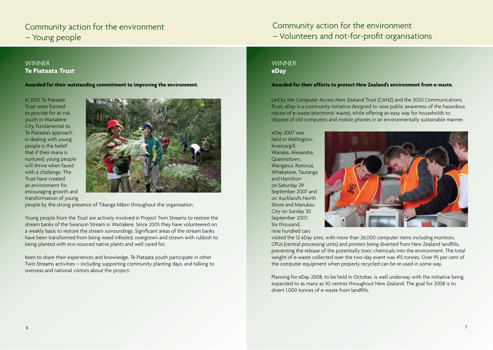## Community action for the environment – Young people

## Community action for the environment – Volunteers and not-for-profit organisations

## **WINNER Te Piataata Trust**

**Awarded for their outstanding commitment to improving the environment.**

In 2001 Te Piataata Trust were formed to provide for at-risk youth in Waitakere City. Fundamental to Te Piataata's approach in dealing with young people is the belief that if their mana is nurtured, young people will thrive when faced with a challenge. The Trust have created an environment for encouraging growth and transformation of young



people by the strong presence of Tikanga Maori throughout the organisation.

Young people from the Trust are actively involved in Project Twin Streams to restore the stream banks of the Swanson Stream in Waitakere. Since 2005 they have volunteered on a weekly basis to restore the stream surroundings. Significant areas of the stream banks have been transformed from being weed infested, overgrown and strewn with rubbish to being planted with eco-sourced native plants and well cared for.

Keen to share their experiences and knowledge, Te Piataata youth participate in other Twin Streams activities – including supporting community planting days, and talking to overseas and national visitors about the project.

## **WINNFR eDay**

#### **Awarded for their efforts to protect New Zealand's environment from e-waste.**

Led by the Computer Access New Zealand Trust (CANZ) and the 2020 Communications Trust, eDay is a community initiative designed to raise public awareness of the hazardous nature of e-waste (electronic waste), while offering an easy way for households to dispose of old computers and mobile phones in an environmentally sustainable manner.

eDay 2007 was held in Wellington, Invercargill, Wanaka, Alexandra, Queenstown, Wanganui, Rotorua, Whakatane, Tauranga and Hamilton on Saturday 29 September 2007 and on Auckland's North Shore and Manukau City on Sunday 30 September 2007. Six thousand, nine hundred cars



visited the 12 eDay sites, with more than 26,000 computer items including monitors, CPUs (central processing units) and printers being diverted from New Zealand landfills, preventing the release of the potentially toxic chemicals into the environment. The total weight of e-waste collected over the two-day event was 415 tonnes. Over 95 per cent of the computer equipment when properly recycled can be re-used in some way.

Planning for eDay 2008, to be held in October, is well underway with the initiative being expanded to as many as 30 centres throughout New Zealand. The goal for 2008 is to divert 1,000 tonnes of e-waste from landfills.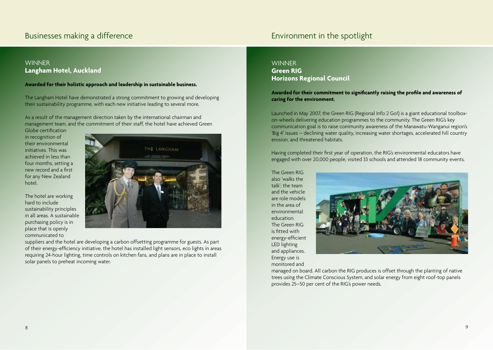## Businesses making a difference **Environment in the spotlight** Businesses making a difference

## **WINNER Langham Hotel, Auckland**

#### **Awarded for their holistic approach and leadership in sustainable business.**

The Langham Hotel have demonstrated a strong commitment to growing and developing their sustainability programme, with each new initiative leading to several more.

As a result of the management direction taken by the international chairman and management team, and the commitment of their staff, the hotel have achieved Green Globe certification

in recognition of their environmental initiatives. This was achieved in less than four months, setting a new record and a first for any New Zealand hotel.

The hotel are working hard to include sustainability principles in all areas. A sustainable purchasing policy is in place that is openly communicated to



suppliers and the hotel are developing a carbon offsetting programme for guests. As part of their energy-efficiency initiative, the hotel has installed light sensors, eco lights in areas requiring 24-hour lighting, time controls on kitchen fans, and plans are in place to install solar panels to preheat incoming water.

## **WINNER**

**Green RIG Horizons Regional Council**

**Awarded for their commitment to significantly raising the profile and awareness of caring for the environment.**

Launched in May 2007, the Green RIG (Regional Info 2 Go!) is a giant educational toolboxon-wheels delivering education programmes to the community. The Green RIG's key communication goal is to raise community awareness of the Manawatu-Wanganui region's 'Big 4' issues – declining water quality, increasing water shortages, accelerated hill country erosion, and threatened habitats.

Having completed their first year of operation, the RIG's environmental educators have engaged with over 20,000 people, visited 33 schools and attended 18 community events.

The Green RIG also 'walks the  $t$ alk'; the team and the vehicle are role models in the area of environmental education. The Green RIG is fitted with energy-efficient LED lighting and appliances. Energy use is monitored and



managed on board. All carbon the RIG produces is offset through the planting of native trees using the Climate Conscious System, and solar energy from eight roof-top panels provides 25–50 per cent of the RIG's power needs.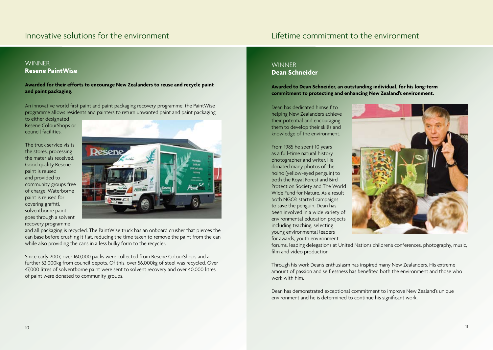## Innovative solutions for the environment Lifetime commitment to the environment

### **WINNER Resene PaintWise**

#### **Awarded for their efforts to encourage New Zealanders to reuse and recycle paint and paint packaging.**

An innovative world first paint and paint packaging recovery programme, the PaintWise programme allows residents and painters to return unwanted paint and paint packaging to either designated

Resene ColourShops or council facilities.

The truck service visits the stores, processing the materials received. Good quality Resene paint is reused and provided to community groups free of charge. Waterborne paint is reused for covering graffiti, solventborne paint goes through a solvent recovery programme



and all packaging is recycled. The PaintWise truck has an onboard crusher that pierces the can base before crushing it flat, reducing the time taken to remove the paint from the can while also providing the cans in a less bulky form to the recycler.

Since early 2007, over 160,000 packs were collected from Resene ColourShops and a further 52,000kg from council depots. Of this, over 56,000kg of steel was recycled. Over 47,000 litres of solventborne paint were sent to solvent recovery and over 40,000 litres of paint were donated to community groups.

## **WINNFR Dean Schneider**

**Awarded to Dean Schneider, an outstanding individual, for his long-term commitment to protecting and enhancing New Zealand's environment.**

Dean has dedicated himself to helping New Zealanders achieve their potential and encouraging them to develop their skills and knowledge of the environment.

From 1985 he spent 10 years as a full-time natural history photographer and writer. He donated many photos of the hoiho (yellow-eyed penguin) to both the Royal Forest and Bird Protection Society and The World Wide Fund for Nature. As a result both NGO's started campaigns to save the penguin. Dean has been involved in a wide variety of environmental education projects including teaching, selecting young environmental leaders for awards, youth environment



forums, leading delegations at United Nations children's conferences, photography, music, film and video production.

Through his work Dean's enthusiasm has inspired many New Zealanders. His extreme amount of passion and selflessness has benefited both the environment and those who work with him.

Dean has demonstrated exceptional commitment to improve New Zealand's unique environment and he is determined to continue his significant work.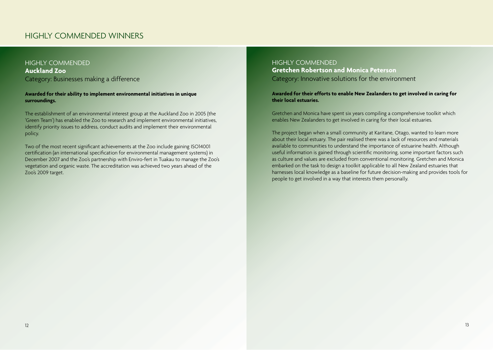## HIGHLY COMMENDED WINNERS

## HIGHLY COMMENDED **Auckland Zoo** Category: Businesses making a difference

#### **Awarded for their ability to implement environmental initiatives in unique surroundings.**

The establishment of an environmental interest group at the Auckland Zoo in 2005 (the 'Green Team') has enabled the Zoo to research and implement environmental initiatives, identify priority issues to address, conduct audits and implement their environmental policy.

Two of the most recent significant achievements at the Zoo include gaining ISO14001 certification (an international specification for environmental management systems) in December 2007 and the Zoo's partnership with Enviro-fert in Tuakau to manage the Zoo's vegetation and organic waste. The accreditation was achieved two years ahead of the Zoo's 2009 target.

HIGHLY COMMENDED **Gretchen Robertson and Monica Peterson** Category: Innovative solutions for the environment

**Awarded for their efforts to enable New Zealanders to get involved in caring for their local estuaries.**

Gretchen and Monica have spent six years compiling a comprehensive toolkit which enables New Zealanders to get involved in caring for their local estuaries.

The project began when a small community at Karitane, Otago, wanted to learn more about their local estuary. The pair realised there was a lack of resources and materials available to communities to understand the importance of estuarine health. Although useful information is gained through scientific monitoring, some important factors such as culture and values are excluded from conventional monitoring. Gretchen and Monica embarked on the task to design a toolkit applicable to all New Zealand estuaries that harnesses local knowledge as a baseline for future decision-making and provides tools for people to get involved in a way that interests them personally.